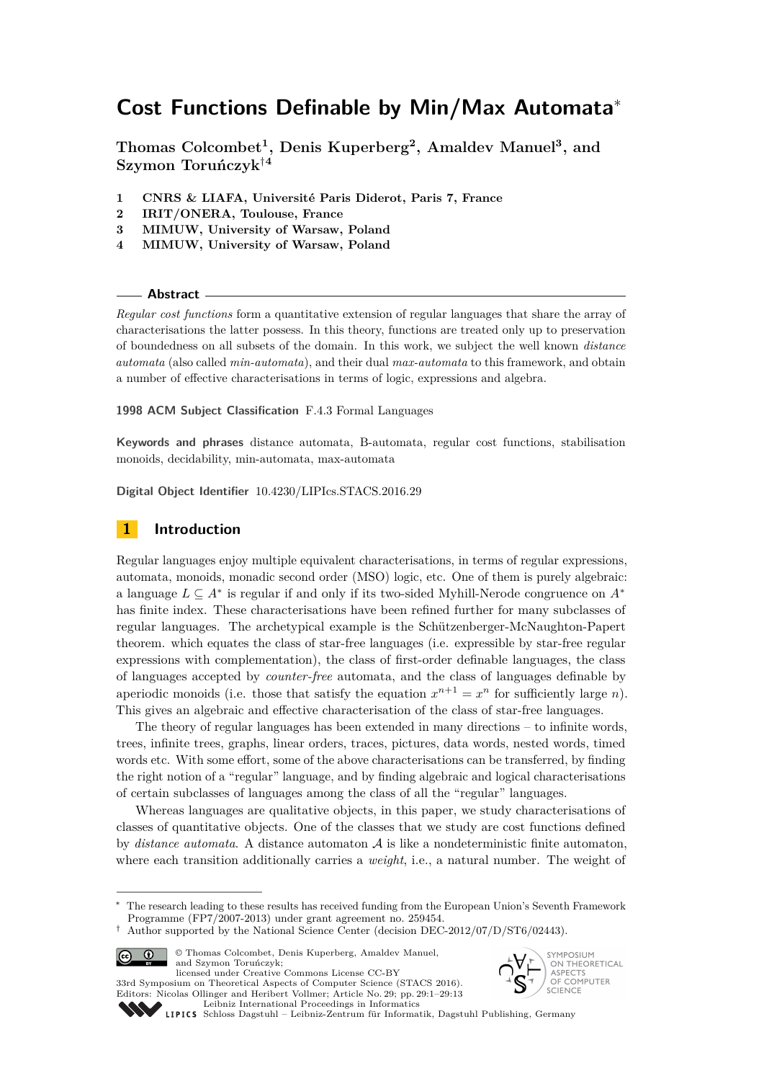# **Cost Functions Definable by Min/Max Automata**<sup>∗</sup>

**Thomas Colcombet<sup>1</sup> , Denis Kuperberg<sup>2</sup> , Amaldev Manuel<sup>3</sup> , and Szymon Toruńczyk**†**<sup>4</sup>**

- **1 CNRS & LIAFA, Université Paris Diderot, Paris 7, France**
- **2 IRIT/ONERA, Toulouse, France**
- **3 MIMUW, University of Warsaw, Poland**
- **4 MIMUW, University of Warsaw, Poland**

**Abstract**

*Regular cost functions* form a quantitative extension of regular languages that share the array of characterisations the latter possess. In this theory, functions are treated only up to preservation of boundedness on all subsets of the domain. In this work, we subject the well known *distance automata* (also called *min-automata*), and their dual *max-automata* to this framework, and obtain a number of effective characterisations in terms of logic, expressions and algebra.

**1998 ACM Subject Classification** F.4.3 Formal Languages

**Keywords and phrases** distance automata, B-automata, regular cost functions, stabilisation monoids, decidability, min-automata, max-automata

**Digital Object Identifier** [10.4230/LIPIcs.STACS.2016.29](http://dx.doi.org/10.4230/LIPIcs.STACS.2016.29)

# **1 Introduction**

Regular languages enjoy multiple equivalent characterisations, in terms of regular expressions, automata, monoids, monadic second order (MSO) logic, etc. One of them is purely algebraic: a language *L* ⊆ *A*<sup>∗</sup> is regular if and only if its two-sided Myhill-Nerode congruence on *A*<sup>∗</sup> has finite index. These characterisations have been refined further for many subclasses of regular languages. The archetypical example is the Schützenberger-McNaughton-Papert theorem. which equates the class of star-free languages (i.e. expressible by star-free regular expressions with complementation), the class of first-order definable languages, the class of languages accepted by *counter-free* automata, and the class of languages definable by aperiodic monoids (i.e. those that satisfy the equation  $x^{n+1} = x^n$  for sufficiently large *n*). This gives an algebraic and effective characterisation of the class of star-free languages.

The theory of regular languages has been extended in many directions – to infinite words, trees, infinite trees, graphs, linear orders, traces, pictures, data words, nested words, timed words etc. With some effort, some of the above characterisations can be transferred, by finding the right notion of a "regular" language, and by finding algebraic and logical characterisations of certain subclasses of languages among the class of all the "regular" languages.

Whereas languages are qualitative objects, in this paper, we study characterisations of classes of quantitative objects. One of the classes that we study are cost functions defined by *distance automata*. A distance automaton A is like a nondeterministic finite automaton, where each transition additionally carries a *weight*, i.e., a natural number. The weight of

<sup>†</sup> Author supported by the National Science Center (decision DEC-2012/07/D/ST6/02443).



© Thomas Colcombet, Denis Kuperberg, Amaldev Manuel, and Szymon Toruńczyk; licensed under Creative Commons License CC-BY





[Schloss Dagstuhl – Leibniz-Zentrum für Informatik, Dagstuhl Publishing, Germany](http://www.dagstuhl.de)

The research leading to these results has received funding from the European Union's Seventh Framework Programme (FP7/2007-2013) under grant agreement no. 259454.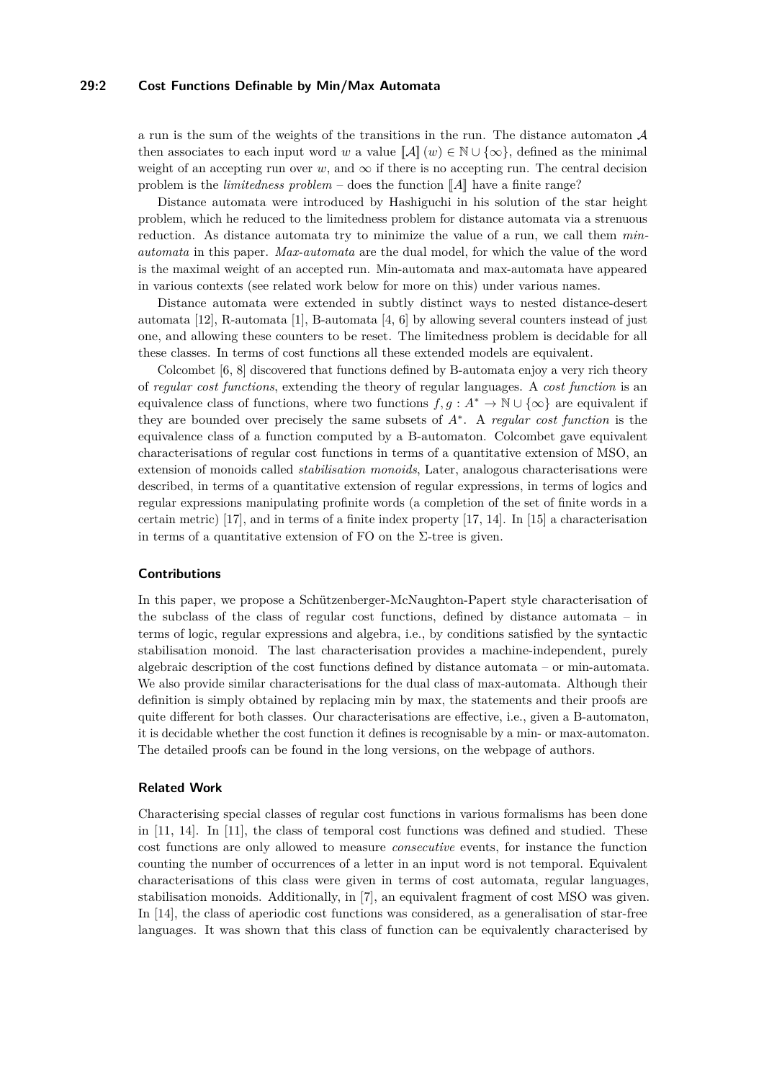### **29:2 Cost Functions Definable by Min/Max Automata**

a run is the sum of the weights of the transitions in the run. The distance automaton  $A$ then associates to each input word *w* a value  $\llbracket A \rrbracket(w) \in \mathbb{N} \cup \{\infty\}$ , defined as the minimal weight of an accepting run over  $w$ , and  $\infty$  if there is no accepting run. The central decision problem is the *limitedness problem* – does the function  $\llbracket A \rrbracket$  have a finite range?

Distance automata were introduced by Hashiguchi in his solution of the star height problem, which he reduced to the limitedness problem for distance automata via a strenuous reduction. As distance automata try to minimize the value of a run, we call them *minautomata* in this paper. *Max-automata* are the dual model, for which the value of the word is the maximal weight of an accepted run. Min-automata and max-automata have appeared in various contexts (see related work below for more on this) under various names.

Distance automata were extended in subtly distinct ways to nested distance-desert automata [\[12\]](#page-12-1), R-automata [\[1\]](#page-12-2), B-automata [\[4,](#page-12-3) [6\]](#page-12-4) by allowing several counters instead of just one, and allowing these counters to be reset. The limitedness problem is decidable for all these classes. In terms of cost functions all these extended models are equivalent.

Colcombet [\[6,](#page-12-4) [8\]](#page-12-5) discovered that functions defined by B-automata enjoy a very rich theory of *regular cost functions*, extending the theory of regular languages. A *cost function* is an equivalence class of functions, where two functions  $f, g : A^* \to \mathbb{N} \cup \{\infty\}$  are equivalent if they are bounded over precisely the same subsets of *A*<sup>∗</sup> . A *regular cost function* is the equivalence class of a function computed by a B-automaton. Colcombet gave equivalent characterisations of regular cost functions in terms of a quantitative extension of MSO, an extension of monoids called *stabilisation monoids*, Later, analogous characterisations were described, in terms of a quantitative extension of regular expressions, in terms of logics and regular expressions manipulating profinite words (a completion of the set of finite words in a certain metric) [\[17\]](#page-12-6), and in terms of a finite index property [\[17,](#page-12-6) [14\]](#page-12-7). In [\[15\]](#page-12-8) a characterisation in terms of a quantitative extension of FO on the  $\Sigma$ -tree is given.

#### **Contributions**

In this paper, we propose a Schützenberger-McNaughton-Papert style characterisation of the subclass of the class of regular cost functions, defined by distance automata – in terms of logic, regular expressions and algebra, i.e., by conditions satisfied by the syntactic stabilisation monoid. The last characterisation provides a machine-independent, purely algebraic description of the cost functions defined by distance automata – or min-automata. We also provide similar characterisations for the dual class of max-automata. Although their definition is simply obtained by replacing min by max, the statements and their proofs are quite different for both classes. Our characterisations are effective, i.e., given a B-automaton, it is decidable whether the cost function it defines is recognisable by a min- or max-automaton. The detailed proofs can be found in the long versions, on the webpage of authors.

#### **Related Work**

Characterising special classes of regular cost functions in various formalisms has been done in [\[11,](#page-12-9) [14\]](#page-12-7). In [\[11\]](#page-12-9), the class of temporal cost functions was defined and studied. These cost functions are only allowed to measure *consecutive* events, for instance the function counting the number of occurrences of a letter in an input word is not temporal. Equivalent characterisations of this class were given in terms of cost automata, regular languages, stabilisation monoids. Additionally, in [\[7\]](#page-12-10), an equivalent fragment of cost MSO was given. In [\[14\]](#page-12-7), the class of aperiodic cost functions was considered, as a generalisation of star-free languages. It was shown that this class of function can be equivalently characterised by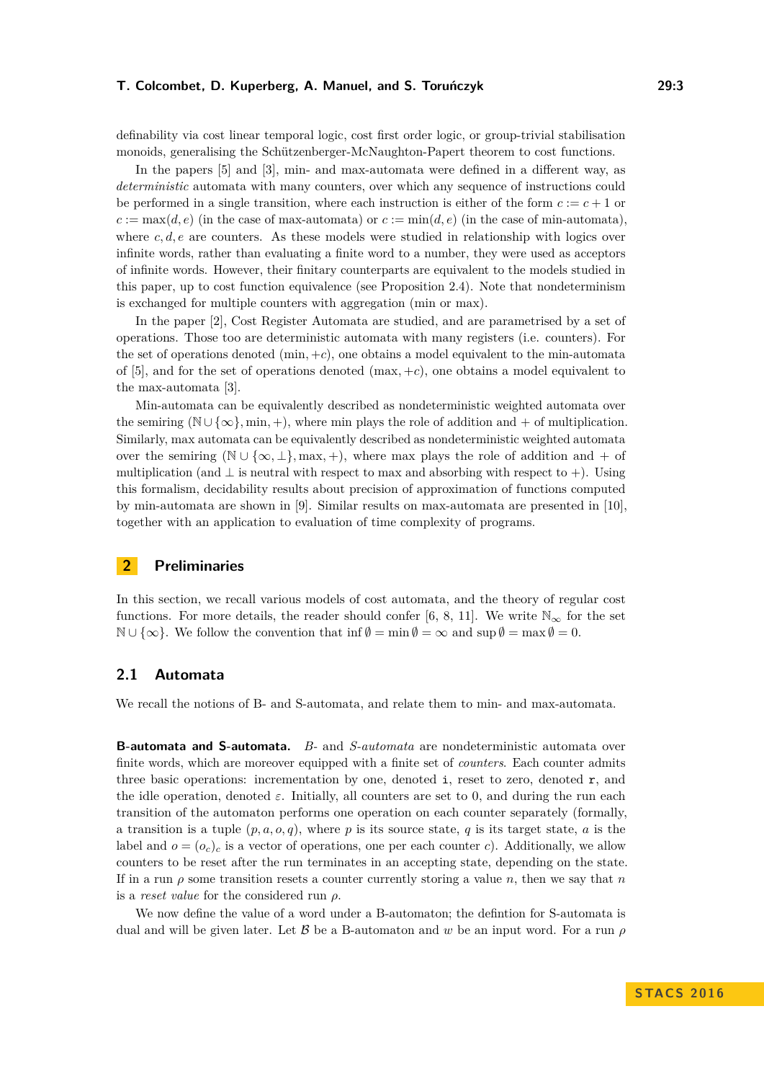definability via cost linear temporal logic, cost first order logic, or group-trivial stabilisation monoids, generalising the Schützenberger-McNaughton-Papert theorem to cost functions.

In the papers [\[5\]](#page-12-11) and [\[3\]](#page-12-12), min- and max-automata were defined in a different way, as *deterministic* automata with many counters, over which any sequence of instructions could be performed in a single transition, where each instruction is either of the form  $c := c + 1$  or  $c := \max(d, e)$  (in the case of max-automata) or  $c := \min(d, e)$  (in the case of min-automata), where *c, d, e* are counters. As these models were studied in relationship with logics over infinite words, rather than evaluating a finite word to a number, they were used as acceptors of infinite words. However, their finitary counterparts are equivalent to the models studied in this paper, up to cost function equivalence (see Proposition [2.4\)](#page-4-0). Note that nondeterminism is exchanged for multiple counters with aggregation (min or max).

In the paper [\[2\]](#page-12-13), Cost Register Automata are studied, and are parametrised by a set of operations. Those too are deterministic automata with many registers (i.e. counters). For the set of operations denoted  $(min, +c)$ , one obtains a model equivalent to the min-automata of [\[5\]](#page-12-11), and for the set of operations denoted (max*,* +*c*), one obtains a model equivalent to the max-automata [\[3\]](#page-12-12).

Min-automata can be equivalently described as nondeterministic weighted automata over the semiring ( $\mathbb{N} \cup \{\infty\}$ , min, +), where min plays the role of addition and + of multiplication. Similarly, max automata can be equivalently described as nondeterministic weighted automata over the semiring ( $\mathbb{N} \cup \{\infty, \perp\}$ , max, +), where max plays the role of addition and + of multiplication (and  $\perp$  is neutral with respect to max and absorbing with respect to +). Using this formalism, decidability results about precision of approximation of functions computed by min-automata are shown in [\[9\]](#page-12-14). Similar results on max-automata are presented in [\[10\]](#page-12-15), together with an application to evaluation of time complexity of programs.

# **2 Preliminaries**

In this section, we recall various models of cost automata, and the theory of regular cost functions. For more details, the reader should confer [\[6,](#page-12-4) [8,](#page-12-5) [11\]](#page-12-9). We write  $\mathbb{N}_{\infty}$  for the set  $\mathbb{N} \cup \{\infty\}$ . We follow the convention that inf  $\emptyset = \min \emptyset = \infty$  and  $\sup \emptyset = \max \emptyset = 0$ .

# **2.1 Automata**

We recall the notions of B- and S-automata, and relate them to min- and max-automata.

**B-automata and S-automata.** *B-* and *S-automata* are nondeterministic automata over finite words, which are moreover equipped with a finite set of *counters*. Each counter admits three basic operations: incrementation by one, denoted  $\mathbf{i}$ , reset to zero, denoted  $\mathbf{r}$ , and the idle operation, denoted  $\varepsilon$ . Initially, all counters are set to 0, and during the run each transition of the automaton performs one operation on each counter separately (formally, a transition is a tuple  $(p, a, o, q)$ , where p is its source state, q is its target state, a is the label and  $o = (o_c)_c$  is a vector of operations, one per each counter *c*). Additionally, we allow counters to be reset after the run terminates in an accepting state, depending on the state. If in a run *ρ* some transition resets a counter currently storing a value *n*, then we say that *n* is a *reset value* for the considered run *ρ*.

We now define the value of a word under a B-automaton; the defintion for S-automata is dual and will be given later. Let B be a B-automaton and *w* be an input word. For a run *ρ*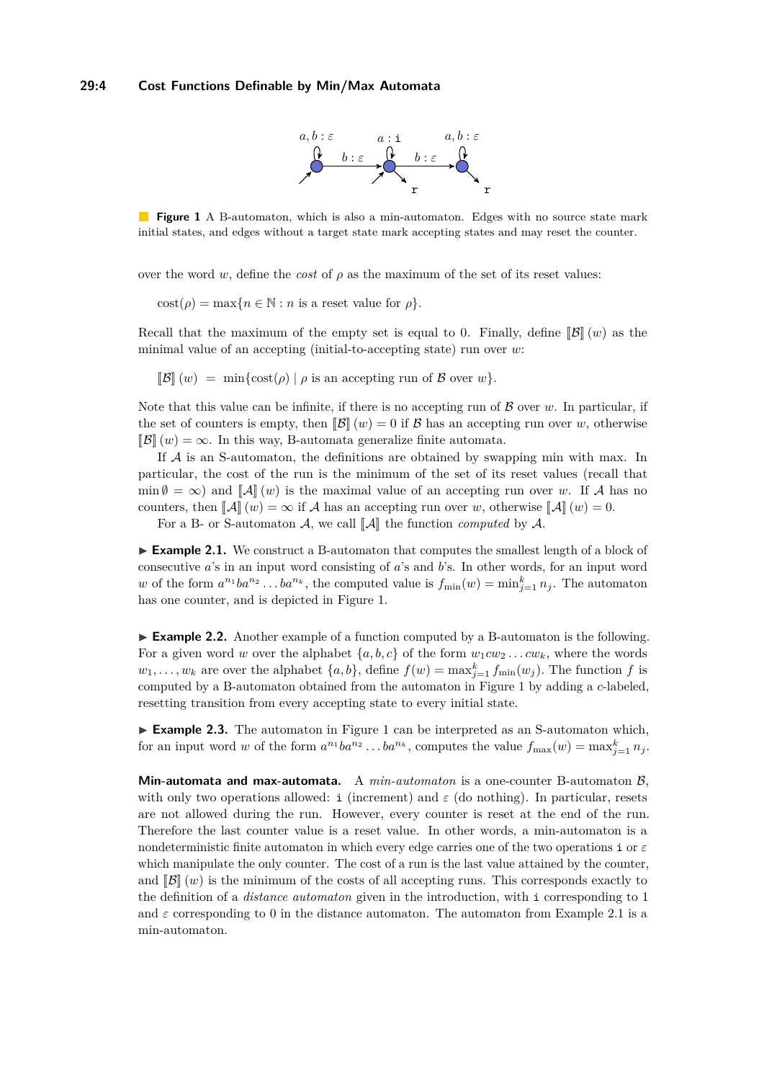### <span id="page-3-0"></span>**29:4 Cost Functions Definable by Min/Max Automata**



**Figure 1** A B-automaton, which is also a min-automaton. Edges with no source state mark initial states, and edges without a target state mark accepting states and may reset the counter.

over the word *w*, define the *cost* of  $\rho$  as the maximum of the set of its reset values:

 $\text{cost}(\rho) = \max\{n \in \mathbb{N} : n \text{ is a reset value for } \rho\}.$ 

Recall that the maximum of the empty set is equal to 0. Finally, define  $\mathbb{B}(\lVert w\rVert)$  as the minimal value of an accepting (initial-to-accepting state) run over *w*:

 $\mathbb{B}(\mathcal{B}(\mathbf{w})) = \min\{\text{cost}(\rho) \mid \rho \text{ is an accepting run of } \mathcal{B} \text{ over } w\}.$ 

Note that this value can be infinite, if there is no accepting run of  $\beta$  over  $w$ . In particular, if the set of counters is empty, then  $\|\mathcal{B}\|(w) = 0$  if  $\mathcal{B}$  has an accepting run over *w*, otherwise  $\mathbb{B}(\mathcal{B}(\omega)) = \infty$ . In this way, B-automata generalize finite automata.

If A is an S-automaton, the definitions are obtained by swapping min with max. In particular, the cost of the run is the minimum of the set of its reset values (recall that  $\min \emptyset = \infty$  and  $\|\mathcal{A}\|$  (*w*) is the maximal value of an accepting run over *w*. If A has no counters, then  $\llbracket \mathcal{A} \rrbracket(w) = \infty$  if A has an accepting run over *w*, otherwise  $\llbracket \mathcal{A} \rrbracket(w) = 0$ .

For a B- or S-automaton  $\mathcal{A}$ , we call  $\|\mathcal{A}\|$  the function *computed* by  $\mathcal{A}$ .

<span id="page-3-1"></span>► **Example 2.1.** We construct a B-automaton that computes the smallest length of a block of consecutive *a*'s in an input word consisting of *a*'s and *b*'s. In other words, for an input word *w* of the form  $a^{n_1}ba^{n_2} \dots ba^{n_k}$ , the computed value is  $f_{\min}(w) = \min_{j=1}^k n_j$ . The automaton has one counter, and is depicted in Figure [1.](#page-3-0)

<span id="page-3-3"></span>► **Example 2.2.** Another example of a function computed by a B-automaton is the following. For a given word *w* over the alphabet  $\{a, b, c\}$  of the form  $w_1 c w_2 \ldots c w_k$ , where the words  $w_1, \ldots, w_k$  are over the alphabet  $\{a, b\}$ , define  $f(w) = \max_{j=1}^k f_{\min}(w_j)$ . The function *f* is computed by a B-automaton obtained from the automaton in Figure [1](#page-3-0) by adding a *c*-labeled, resetting transition from every accepting state to every initial state.

<span id="page-3-2"></span>► **Example 2.3.** The automaton in Figure [1](#page-3-0) can be interpreted as an S-automaton which, for an input word *w* of the form  $a^{n_1}ba^{n_2} \dots ba^{n_k}$ , computes the value  $f_{\text{max}}(w) = \max_{j=1}^k n_j$ .

**Min-automata and max-automata.** A *min-automaton* is a one-counter B-automaton B, with only two operations allowed: i (increment) and  $\varepsilon$  (do nothing). In particular, resets are not allowed during the run. However, every counter is reset at the end of the run. Therefore the last counter value is a reset value. In other words, a min-automaton is a nondeterministic finite automaton in which every edge carries one of the two operations i or *ε* which manipulate the only counter. The cost of a run is the last value attained by the counter, and  $\mathbb{B}(\lVert w\rVert)$  is the minimum of the costs of all accepting runs. This corresponds exactly to the definition of a *distance automaton* given in the introduction, with i corresponding to 1 and  $\varepsilon$  corresponding to 0 in the distance automaton. The automaton from Example [2.1](#page-3-1) is a min-automaton.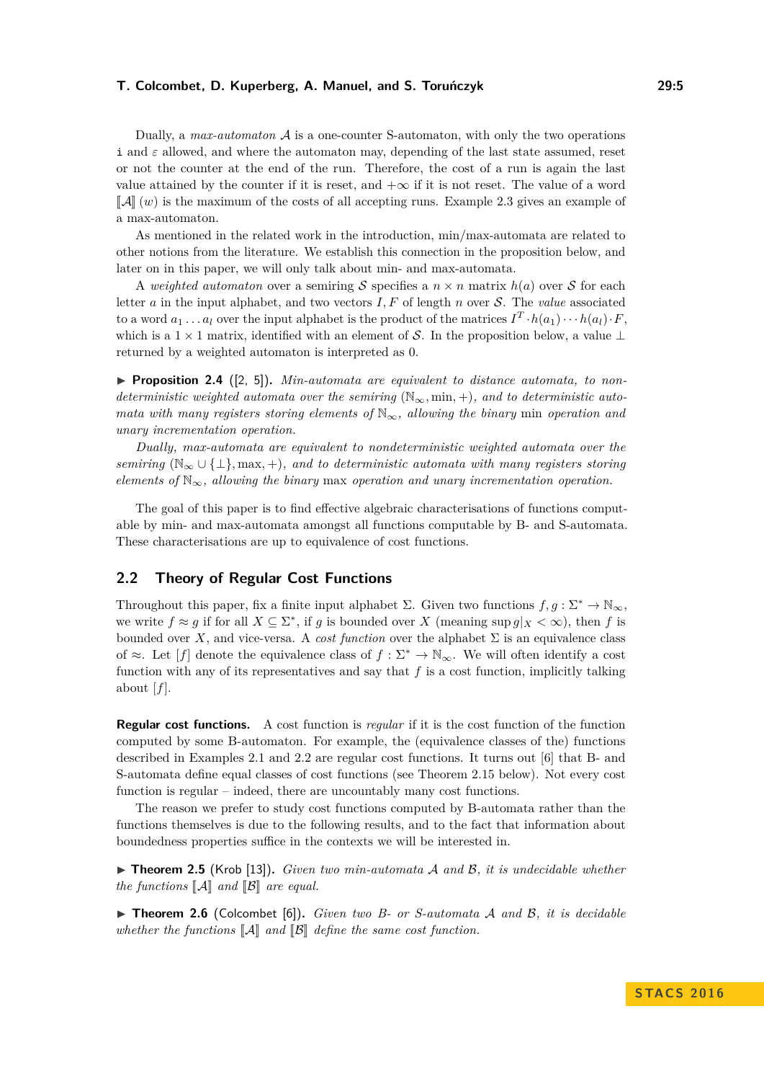Dually, a *max-automaton* A is a one-counter S-automaton, with only the two operations i and  $\varepsilon$  allowed, and where the automaton may, depending of the last state assumed, reset or not the counter at the end of the run. Therefore, the cost of a run is again the last value attained by the counter if it is reset, and  $+\infty$  if it is not reset. The value of a word  $\llbracket A \rrbracket(w)$  is the maximum of the costs of all accepting runs. Example [2.3](#page-3-2) gives an example of a max-automaton.

As mentioned in the related work in the introduction, min/max-automata are related to other notions from the literature. We establish this connection in the proposition below, and later on in this paper, we will only talk about min- and max-automata.

A *weighted automaton* over a semiring S specifies a  $n \times n$  matrix  $h(a)$  over S for each letter *a* in the input alphabet, and two vectors *I, F* of length *n* over S. The *value* associated to a word  $a_1 \ldots a_l$  over the input alphabet is the product of the matrices  $I^T \cdot h(a_1) \cdots h(a_l) \cdot F$ , which is a  $1 \times 1$  matrix, identified with an element of S. In the proposition below, a value ⊥ returned by a weighted automaton is interpreted as 0.

<span id="page-4-0"></span>▶ **Proposition 2.4** ([\[2,](#page-12-13) [5\]](#page-12-11)). *Min-automata are equivalent to distance automata, to nondeterministic weighted automata over the semiring*  $(N_{\infty}, \min, +)$ *, and to deterministic automata with many registers storing elements of* N∞*, allowing the binary* min *operation and unary incrementation operation.*

*Dually, max-automata are equivalent to nondeterministic weighted automata over the semiring* ( $\mathbb{N}_{\infty} \cup \{\perp\}$ , max, +), and to deterministic automata with many registers storing *elements of*  $\mathbb{N}_{\infty}$ , allowing the binary max operation and unary incrementation operation.

The goal of this paper is to find effective algebraic characterisations of functions computable by min- and max-automata amongst all functions computable by B- and S-automata. These characterisations are up to equivalence of cost functions.

## **2.2 Theory of Regular Cost Functions**

Throughout this paper, fix a finite input alphabet  $\Sigma$ . Given two functions  $f, g : \Sigma^* \to \mathbb{N}_{\infty}$ , we write  $f \approx g$  if for all  $X \subseteq \Sigma^*$ , if *g* is bounded over *X* (meaning sup  $g|_X < \infty$ ), then *f* is bounded over *X*, and vice-versa. A *cost function* over the alphabet  $\Sigma$  is an equivalence class of ≈. Let  $[f]$  denote the equivalence class of  $f : \Sigma^* \to \mathbb{N}_{\infty}$ . We will often identify a cost function with any of its representatives and say that  $f$  is a cost function, implicitly talking about  $[f]$ .

**Regular cost functions.** A cost function is *regular* if it is the cost function of the function computed by some B-automaton. For example, the (equivalence classes of the) functions described in Examples [2.1](#page-3-1) and [2.2](#page-3-3) are regular cost functions. It turns out [\[6\]](#page-12-4) that B- and S-automata define equal classes of cost functions (see Theorem [2.15](#page-8-0) below). Not every cost function is regular – indeed, there are uncountably many cost functions.

The reason we prefer to study cost functions computed by B-automata rather than the functions themselves is due to the following results, and to the fact that information about boundedness properties suffice in the contexts we will be interested in.

▶ **Theorem 2.5** (Krob [\[13\]](#page-12-16)). *Given two min-automata* A and B, it is undecidable whether *the functions*  $\llbracket \mathcal{A} \rrbracket$  *and*  $\llbracket \mathcal{B} \rrbracket$  *are equal.* 

▶ **Theorem 2.6** (Colcombet [\[6\]](#page-12-4)). *Given two B- or S-automata A and B, it is decidable* whether the functions  $\llbracket \mathcal{A} \rrbracket$  and  $\llbracket \mathcal{B} \rrbracket$  define the same cost function.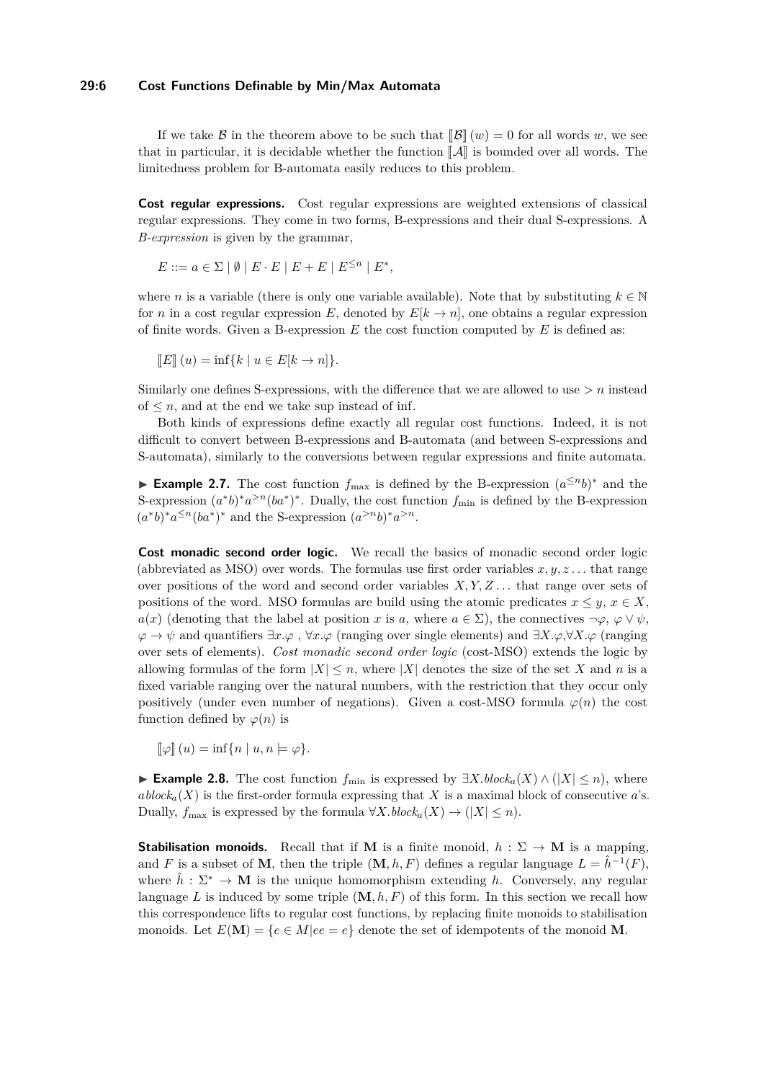### **29:6 Cost Functions Definable by Min/Max Automata**

If we take B in the theorem above to be such that  $\|\mathcal{B}\|(w) = 0$  for all words w, we see that in particular, it is decidable whether the function  $\llbracket \mathcal{A} \rrbracket$  is bounded over all words. The limitedness problem for B-automata easily reduces to this problem.

**Cost regular expressions.** Cost regular expressions are weighted extensions of classical regular expressions. They come in two forms, B-expressions and their dual S-expressions. A *B-expression* is given by the grammar,

$$
E ::= a \in \Sigma \mid \emptyset \mid E \cdot E \mid E + E \mid E^{\leq n} \mid E^*,
$$

where *n* is a variable (there is only one variable available). Note that by substituting  $k \in \mathbb{N}$ for *n* in a cost regular expression *E*, denoted by  $E[k \to n]$ , one obtains a regular expression of finite words. Given a B-expression *E* the cost function computed by *E* is defined as:

$$
\llbracket E \rrbracket(u) = \inf\{k \mid u \in E[k \to n]\}.
$$

Similarly one defines S-expressions, with the difference that we are allowed to use *> n* instead of  $\leq n$ , and at the end we take sup instead of inf.

Both kinds of expressions define exactly all regular cost functions. Indeed, it is not difficult to convert between B-expressions and B-automata (and between S-expressions and S-automata), similarly to the conversions between regular expressions and finite automata.

► **Example 2.7.** The cost function  $f_{\text{max}}$  is defined by the B-expression  $(a^{\leq n}b)^*$  and the S-expression  $(a^*b)^*a^{>n}(ba^*)^*$ . Dually, the cost function  $f_{\min}$  is defined by the B-expression  $(a^*b)^*a^{\leq n}(ba^*)^*$  and the S-expression  $(a^{>n}b)^*a^{>n}$ .

**Cost monadic second order logic.** We recall the basics of monadic second order logic (abbreviated as MSO) over words. The formulas use first order variables  $x, y, z...$  that range over positions of the word and second order variables *X, Y, Z . . .* that range over sets of positions of the word. MSO formulas are build using the atomic predicates  $x \leq y$ ,  $x \in X$ , *a*(*x*) (denoting that the label at position *x* is *a*, where  $a \in \Sigma$ ), the connectives  $\neg \varphi$ ,  $\varphi \vee \psi$ , *ϕ* → *ψ* and quantifiers ∃*x.ϕ* , ∀*x.ϕ* (ranging over single elements) and ∃*X.ϕ*,∀*X.ϕ* (ranging over sets of elements). *Cost monadic second order logic* (cost-MSO) extends the logic by allowing formulas of the form  $|X| \leq n$ , where  $|X|$  denotes the size of the set X and n is a fixed variable ranging over the natural numbers, with the restriction that they occur only positively (under even number of negations). Given a cost-MSO formula  $\varphi(n)$  the cost function defined by  $\varphi(n)$  is

 $\llbracket \varphi \rrbracket (u) = \inf \{ n \mid u, n \models \varphi \}.$ 

**► Example 2.8.** The cost function  $f_{\min}$  is expressed by  $\exists X \cdot \text{block}_a(X) \land (|X| \leq n)$ , where *ablock<sub>a</sub>*(*X*) is the first-order formula expressing that *X* is a maximal block of consecutive *a*'s. Dually,  $f_{\text{max}}$  is expressed by the formula  $\forall X.block_a(X) \rightarrow (|X| \leq n)$ .

**Stabilisation monoids.** Recall that if **M** is a finite monoid,  $h : \Sigma \to \mathbf{M}$  is a mapping, and *F* is a subset of **M**, then the triple  $(M, h, F)$  defines a regular language  $L = \hat{h}^{-1}(F)$ , where  $\hat{h}: \Sigma^* \to \mathbf{M}$  is the unique homomorphism extending *h*. Conversely, any regular language L is induced by some triple  $(M, h, F)$  of this form. In this section we recall how this correspondence lifts to regular cost functions, by replacing finite monoids to stabilisation monoids. Let  $E(\mathbf{M}) = \{e \in M | ee = e\}$  denote the set of idempotents of the monoid **M**.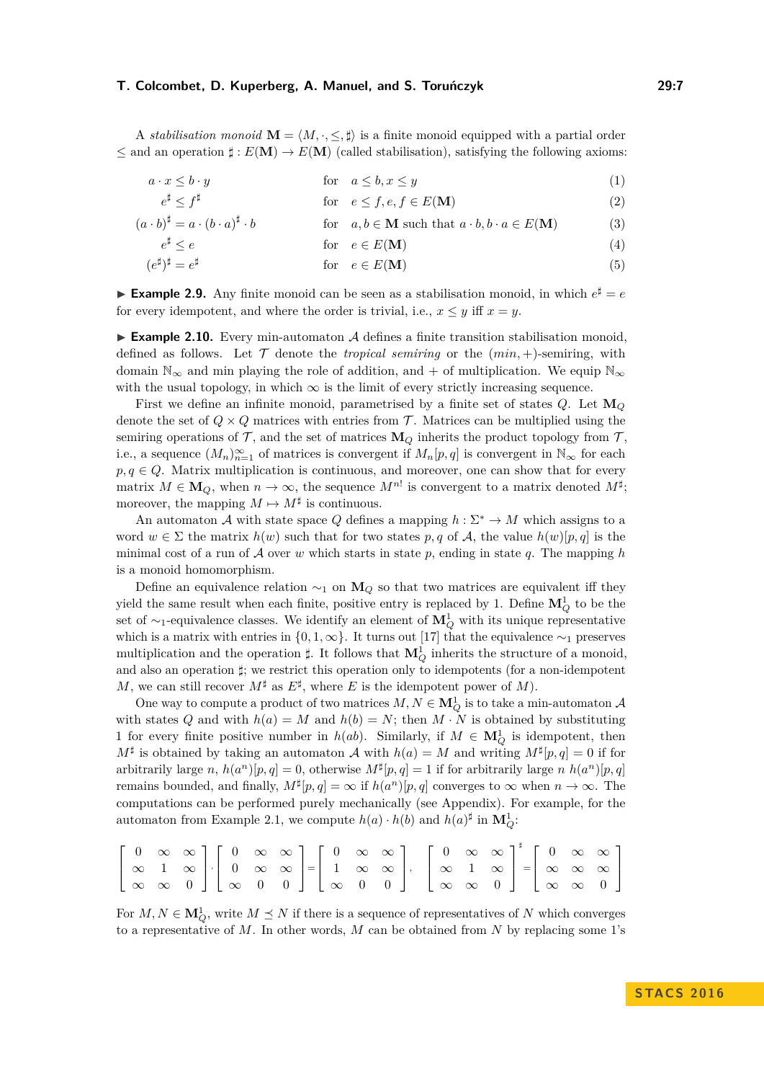A *stabilisation monoid*  $\mathbf{M} = \langle M, \cdot, \leq \cdot, \sharp \rangle$  is a finite monoid equipped with a partial order  $\leq$  and an operation  $\sharp : E(\mathbf{M}) \to E(\mathbf{M})$  (called stabilisation), satisfying the following axioms:

$$
a \cdot x \le b \cdot y \qquad \qquad \text{for} \quad a \le b, x \le y \tag{1}
$$

<span id="page-6-1"></span><span id="page-6-0"></span>
$$
e^{\sharp} \le f^{\sharp} \qquad \qquad \text{for} \quad e \le f, e, f \in E(\mathbf{M}) \tag{2}
$$

$$
(a \cdot b)^{\sharp} = a \cdot (b \cdot a)^{\sharp} \cdot b \qquad \text{for} \quad a, b \in \mathbf{M} \text{ such that } a \cdot b, b \cdot a \in E(\mathbf{M}) \tag{3}
$$

$$
e^{\sharp} \le e \qquad \text{for} \quad e \in E(\mathbf{M}) \tag{4}
$$

<span id="page-6-4"></span><span id="page-6-3"></span><span id="page-6-2"></span>
$$
(e^{\sharp})^{\sharp} = e^{\sharp} \qquad \qquad \text{for} \quad e \in E(\mathbf{M}) \tag{5}
$$

**Example 2.9.** Any finite monoid can be seen as a stabilisation monoid, in which  $e^{\sharp} = e$ for every idempotent, and where the order is trivial, i.e.,  $x \leq y$  iff  $x = y$ .

<span id="page-6-5"></span>**Example 2.10.** Every min-automaton  $\mathcal A$  defines a finite transition stabilisation monoid, defined as follows. Let  $\mathcal T$  denote the *tropical semiring* or the  $(min, +)$ -semiring, with domain  $\mathbb{N}_{\infty}$  and min playing the role of addition, and + of multiplication. We equip  $\mathbb{N}_{\infty}$ with the usual topology, in which  $\infty$  is the limit of every strictly increasing sequence.

First we define an infinite monoid, parametrised by a finite set of states *Q*. Let **M***<sup>Q</sup>* denote the set of  $Q \times Q$  matrices with entries from T. Matrices can be multiplied using the semiring operations of  $\mathcal{T}$ , and the set of matrices  $\mathbf{M}_Q$  inherits the product topology from  $\mathcal{T}$ , i.e., a sequence  $(M_n)_{n=1}^{\infty}$  of matrices is convergent if  $M_n[p,q]$  is convergent in  $\mathbb{N}_{\infty}$  for each  $p, q \in Q$ . Matrix multiplication is continuous, and moreover, one can show that for every matrix  $M \in \mathbf{M}_Q$ , when  $n \to \infty$ , the sequence  $M^{n!}$  is convergent to a matrix denoted  $M^{\sharp}$ ; moreover, the mapping  $M \mapsto M^{\sharp}$  is continuous.

An automaton A with state space Q defines a mapping  $h : \Sigma^* \to M$  which assigns to a word  $w \in \Sigma$  the matrix  $h(w)$  such that for two states p, q of A, the value  $h(w)[p, q]$  is the minimal cost of a run of A over *w* which starts in state *p*, ending in state *q*. The mapping *h* is a monoid homomorphism.

Define an equivalence relation  $\sim_1$  on  $\mathbf{M}_Q$  so that two matrices are equivalent iff they yield the same result when each finite, positive entry is replaced by 1. Define  $\mathbf{M}_{Q}^{1}$  to be the set of ∼1-equivalence classes. We identify an element of **M**<sup>1</sup> *<sup>Q</sup>* with its unique representative which is a matrix with entries in  $\{0, 1, \infty\}$ . It turns out [\[17\]](#page-12-6) that the equivalence ~1 preserves multiplication and the operation  $\sharp$ . It follows that  $\mathbf{M}_{Q}^{1}$  inherits the structure of a monoid, and also an operation *]*; we restrict this operation only to idempotents (for a non-idempotent *M*, we can still recover  $M^{\sharp}$  as  $E^{\sharp}$ , where *E* is the idempotent power of *M*).

One way to compute a product of two matrices  $M, N \in \mathbf{M}_{Q}^{1}$  is to take a min-automaton  $\mathcal{A}$ with states *Q* and with  $h(a) = M$  and  $h(b) = N$ ; then  $M \cdot N$  is obtained by substituting 1 for every finite positive number in  $h(ab)$ . Similarly, if  $M \in \mathbf{M}_Q^1$  is idempotent, then  $M^{\sharp}$  is obtained by taking an automaton A with  $h(a) = M$  and writing  $M^{\sharp}[p,q] = 0$  if for arbitrarily large *n*,  $h(a^n)[p, q] = 0$ , otherwise  $M^{\sharp}[p, q] = 1$  if for arbitrarily large *n*  $h(a^n)[p, q]$ remains bounded, and finally,  $M^{\sharp}[p,q] = \infty$  if  $h(a^n)[p,q]$  converges to  $\infty$  when  $n \to \infty$ . The computations can be performed purely mechanically (see Appendix). For example, for the automaton from Example [2.1,](#page-3-1) we compute  $h(a) \cdot h(b)$  and  $h(a)^\sharp$  in  $\mathbf{M}_Q^1$ :

|  |  |  |  |  |  |  |  |  | $\left[\begin{array}{ccc} 0 & \infty & \infty \\ \infty & 1 & \infty \\ \infty & \infty & 0 \end{array}\right] \cdot \left[\begin{array}{ccc} 0 & \infty & \infty \\ 0 & \infty & \infty \\ \infty & 0 & 0 \end{array}\right] = \left[\begin{array}{ccc} 0 & \infty & \infty \\ 1 & \infty & \infty \\ \infty & 0 & 0 \end{array}\right], \quad \left[\begin{array}{ccc} 0 & \infty & \infty \\ \infty & 1 & \infty \\ \infty & \infty & 0 \end{array}\right]^{\sharp} = \left[\begin{array}{ccc} 0 & \infty & \infty \\ \$ |
|--|--|--|--|--|--|--|--|--|-----------------------------------------------------------------------------------------------------------------------------------------------------------------------------------------------------------------------------------------------------------------------------------------------------------------------------------------------------------------------------------------------------------------------------------------------------------------------------------------------------------------------------|
|  |  |  |  |  |  |  |  |  |                                                                                                                                                                                                                                                                                                                                                                                                                                                                                                                             |
|  |  |  |  |  |  |  |  |  |                                                                                                                                                                                                                                                                                                                                                                                                                                                                                                                             |

For  $M, N \in \mathbf{M}_{Q}^1$ , write  $M \preceq N$  if there is a sequence of representatives of  $N$  which converges to a representative of *M*. In other words, *M* can be obtained from *N* by replacing some 1's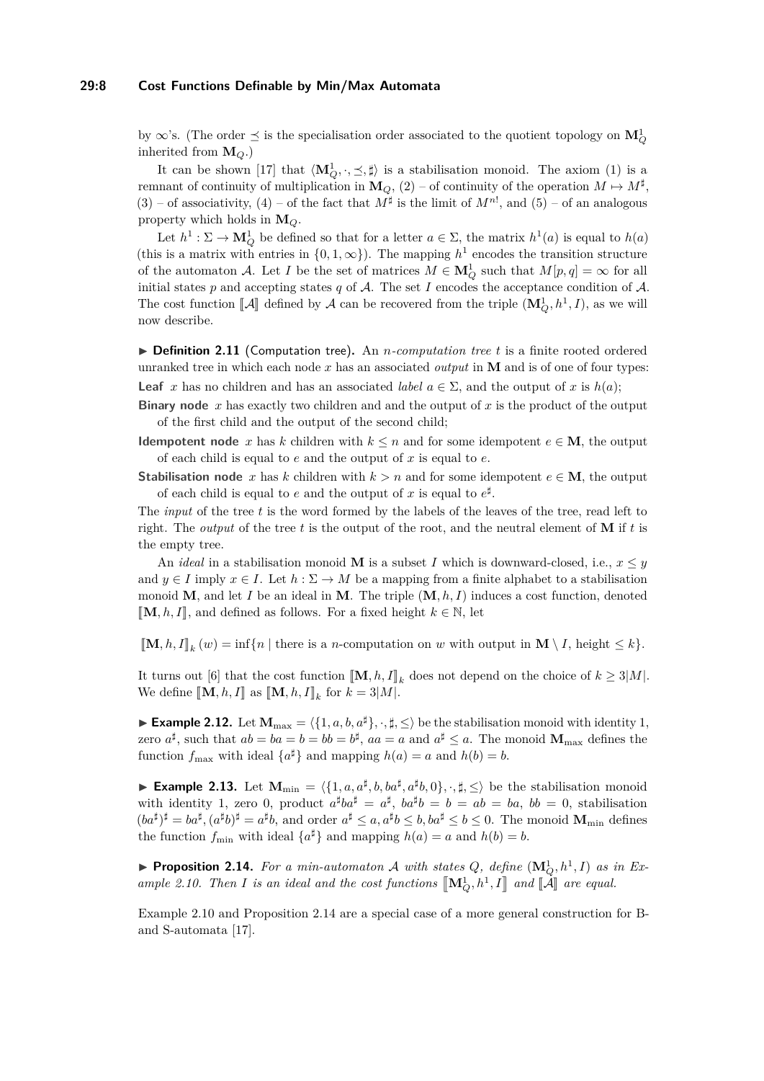#### **29:8 Cost Functions Definable by Min/Max Automata**

by  $\infty$ 's. (The order  $\preceq$  is the specialisation order associated to the quotient topology on  $\mathbf{M}_{Q}^{1}$ inherited from **M***Q*.)

It can be shown [\[17\]](#page-12-6) that  $\langle \mathbf{M}_Q^1, \cdot, \leq, \sharp \rangle$  is a stabilisation monoid. The axiom [\(1\)](#page-6-0) is a remnant of continuity of multiplication in  $\mathbf{M}_Q$ , [\(2\)](#page-6-1) – of continuity of the operation  $M \mapsto M^{\sharp}$ ,  $(3)$  – of associativity,  $(4)$  – of the fact that  $M^{\sharp}$  is the limit of  $M^{n!}$ , and  $(5)$  – of an analogous property which holds in **M***Q*.

Let  $h^1: \Sigma \to \mathbf{M}_Q^1$  be defined so that for a letter  $a \in \Sigma$ , the matrix  $h^1(a)$  is equal to  $h(a)$ (this is a matrix with entries in  $\{0, 1, \infty\}$ ). The mapping  $h^1$  encodes the transition structure of the automaton A. Let *I* be the set of matrices  $M \in \mathbf{M}_Q^1$  such that  $M[p, q] = \infty$  for all initial states  $p$  and accepting states  $q$  of  $A$ . The set  $I$  encodes the acceptance condition of  $A$ . The cost function  $[\![A]\!]$  defined by A can be recovered from the triple  $(\mathbf{M}_Q^1, h^1, I)$ , as we will now describe.

▶ **Definition 2.11** (Computation tree). An *n*-computation tree t is a finite rooted ordered unranked tree in which each node *x* has an associated *output* in **M** and is of one of four types: **Leaf** *x* has no children and has an associated *label*  $a \in \Sigma$ , and the output of *x* is  $h(a)$ ;

**Binary node** *x* has exactly two children and and the output of *x* is the product of the output of the first child and the output of the second child;

**Idempotent node** *x* has *k* children with  $k \leq n$  and for some idempotent  $e \in M$ , the output of each child is equal to *e* and the output of *x* is equal to *e*.

**Stabilisation node** *x* has *k* children with  $k > n$  and for some idempotent  $e \in M$ , the output of each child is equal to *e* and the output of *x* is equal to  $e^{\sharp}$ .

The *input* of the tree *t* is the word formed by the labels of the leaves of the tree, read left to right. The *output* of the tree *t* is the output of the root, and the neutral element of **M** if *t* is the empty tree.

An *ideal* in a stabilisation monoid **M** is a subset *I* which is downward-closed, i.e.,  $x \leq y$ and  $y \in I$  imply  $x \in I$ . Let  $h : \Sigma \to M$  be a mapping from a finite alphabet to a stabilisation monoid **M**, and let *I* be an ideal in **M**. The triple (**M***, h, I*) induces a cost function, denoted  $\mathbb{M}, h, I\mathbb{I}$ , and defined as follows. For a fixed height *k* ∈ N, let

 $[\![\mathbf{M}, h, I]\!]_k$   $(w) = \inf\{n \mid \text{there is a } n\text{-computation on } w \text{ with output in } \mathbf{M} \setminus I, \text{ height } \leq k\}.$ 

It turns out [\[6\]](#page-12-4) that the cost function  $[\![\mathbf{M}, h, I]\!]_k$  does not depend on the choice of  $k \geq 3|M|$ .<br>We define  $[\![\mathbf{M}, h, I]\!]_k$  for  $h = 3|M|$ . We define  $[\![\mathbf{M}, h, I]\!]$  as  $[\![\mathbf{M}, h, I]\!]_k$  for  $k = 3|M|$ .

► **Example 2.12.** Let  $M_{\text{max}} = \langle \{1, a, b, a^{\sharp}\}, \cdot, \sharp, \leq \rangle$  be the stabilisation monoid with identity 1, zero  $a^{\sharp}$ , such that  $ab = ba = b = bb = b^{\sharp}$ ,  $aa = a$  and  $a^{\sharp} \leq a$ . The monoid  $\mathbf{M}_{\text{max}}$  defines the function  $f_{\text{max}}$  with ideal  $\{a^{\sharp}\}\$ and mapping  $h(a) = a$  and  $h(b) = b$ .

**Example 2.13.** Let  $M_{\min} = \langle \{1, a, a^{\sharp}, b, ba^{\sharp}, a^{\sharp}b, 0\}, \cdot, \sharp, \leq \rangle$  be the stabilisation monoid with identity 1, zero 0, product  $a^{\sharp}ba^{\sharp} = a^{\sharp}$ ,  $ba^{\sharp}b = b = ab = ba$ ,  $bb = 0$ , stabilisation  $(ba^{\sharp})^{\sharp} = ba^{\sharp}, (a^{\sharp}b)^{\sharp} = a^{\sharp}b$ , and order  $a^{\sharp} \leq a$ ,  $a^{\sharp}b \leq b$ ,  $ba^{\sharp} \leq b \leq 0$ . The monoid  $\mathbf{M}_{\text{min}}$  defines the function  $f_{\min}$  with ideal  $\{a^{\sharp}\}\$ and mapping  $h(a) = a$  and  $h(b) = b$ .

<span id="page-7-0"></span>**• Proposition 2.14.** For a min-automaton A with states  $Q$ , define  $(\mathbf{M}_Q^1, h^1, I)$  as in Ex*ample* [2.10.](#page-6-5) *Then I is an ideal and the cost functions*  $\left[\mathbf{M}_Q^1, h^1, I\right]$  *and*  $\left[\mathbf{A}\right]$  *are equal.* 

Example [2.10](#page-6-5) and Proposition [2.14](#page-7-0) are a special case of a more general construction for Band S-automata [\[17\]](#page-12-6).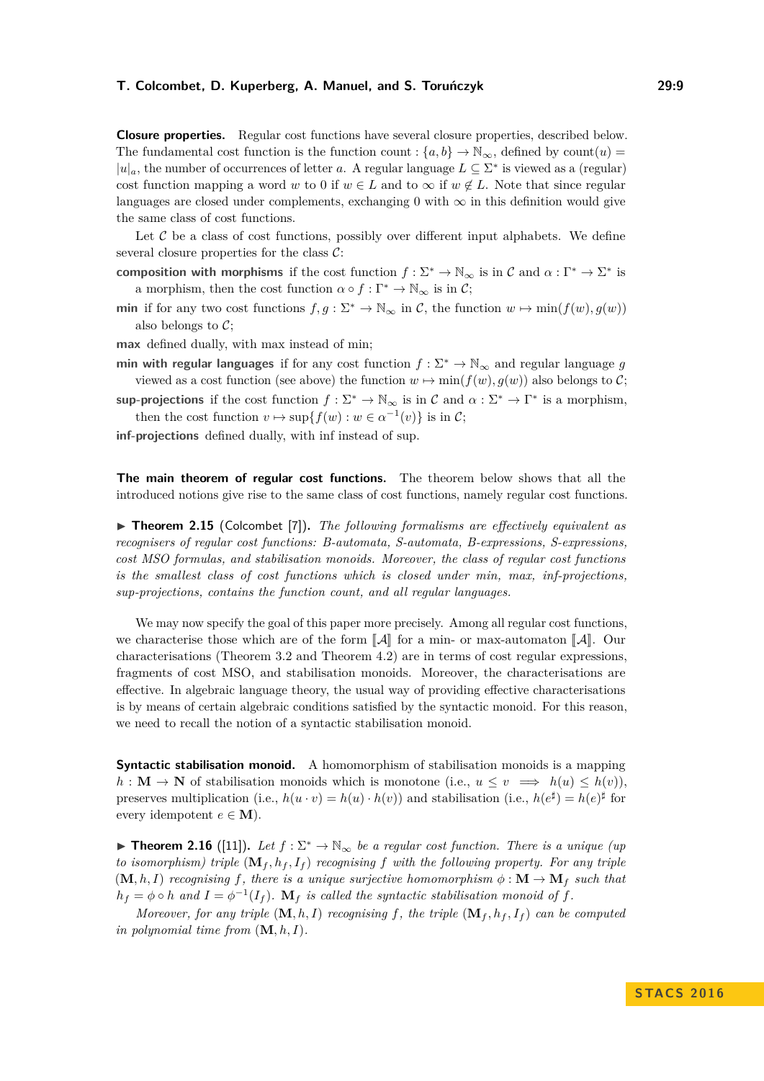**Closure properties.** Regular cost functions have several closure properties, described below. The fundamental cost function is the function count :  $\{a, b\} \rightarrow \mathbb{N}_{\infty}$ , defined by count $(u)$  $|u|_a$ , the number of occurrences of letter *a*. A regular language  $L \subseteq \Sigma^*$  is viewed as a (regular) cost function mapping a word *w* to 0 if  $w \in L$  and to  $\infty$  if  $w \notin L$ . Note that since regular languages are closed under complements, exchanging 0 with  $\infty$  in this definition would give the same class of cost functions.

Let  $C$  be a class of cost functions, possibly over different input alphabets. We define several closure properties for the class  $C$ :

- **composition with morphisms** if the cost function  $f : \Sigma^* \to \mathbb{N}_{\infty}$  is in C and  $\alpha : \Gamma^* \to \Sigma^*$  is a morphism, then the cost function  $\alpha \circ f : \Gamma^* \to \mathbb{N}_{\infty}$  is in C;
- **min** if for any two cost functions  $f, g: \Sigma^* \to \mathbb{N}_{\infty}$  in C, the function  $w \mapsto \min(f(w), g(w))$ also belongs to  $C$ ;
- **max** defined dually, with max instead of min;
- **min with regular languages** if for any cost function  $f : \Sigma^* \to \mathbb{N}_{\infty}$  and regular language *g* viewed as a cost function (see above) the function  $w \mapsto \min(f(w), g(w))$  also belongs to C;

**sup-projections** if the cost function  $f: \Sigma^* \to \mathbb{N}_{\infty}$  is in C and  $\alpha: \Sigma^* \to \Gamma^*$  is a morphism, then the cost function  $v \mapsto \sup\{f(w) : w \in \alpha^{-1}(v)\}$  is in C;

**inf-projections** defined dually, with inf instead of sup.

**The main theorem of regular cost functions.** The theorem below shows that all the introduced notions give rise to the same class of cost functions, namely regular cost functions.

<span id="page-8-0"></span>▶ **Theorem 2.15** (Colcombet [\[7\]](#page-12-10)). *The following formalisms are effectively equivalent as recognisers of regular cost functions: B-automata, S-automata, B-expressions, S-expressions, cost MSO formulas, and stabilisation monoids. Moreover, the class of regular cost functions is the smallest class of cost functions which is closed under min, max, inf-projections, sup-projections, contains the function count, and all regular languages.*

We may now specify the goal of this paper more precisely. Among all regular cost functions, we characterise those which are of the form  $\llbracket \mathcal{A} \rrbracket$  for a min- or max-automaton  $\llbracket \mathcal{A} \rrbracket$ . Our characterisations (Theorem [3.2](#page-9-0) and Theorem [4.2\)](#page-10-0) are in terms of cost regular expressions, fragments of cost MSO, and stabilisation monoids. Moreover, the characterisations are effective. In algebraic language theory, the usual way of providing effective characterisations is by means of certain algebraic conditions satisfied by the syntactic monoid. For this reason, we need to recall the notion of a syntactic stabilisation monoid.

**Syntactic stabilisation monoid.** A homomorphism of stabilisation monoids is a mapping  $h: \mathbf{M} \to \mathbf{N}$  of stabilisation monoids which is monotone (i.e.,  $u \leq v \implies h(u) \leq h(v)$ ). preserves multiplication (i.e.,  $h(u \cdot v) = h(u) \cdot h(v)$ ) and stabilisation (i.e.,  $h(e^{\sharp}) = h(e)^{\sharp}$  for every idempotent  $e \in M$ ).

<span id="page-8-1"></span>**► Theorem 2.16** ([\[11\]](#page-12-9)). Let  $f : \Sigma^* \to \mathbb{N}_{\infty}$  be a regular cost function. There is a unique (up *to isomorphism) triple*  $(\mathbf{M}_f, h_f, I_f)$  *recognising f* with the following property. For any triple  $(\mathbf{M}, h, I)$  *recognising*  $f$ *, there is a unique surjective homomorphism*  $\phi : \mathbf{M} \to \mathbf{M}_f$  *such that*  $h_f = \phi \circ h$  and  $I = \phi^{-1}(I_f)$ .  $\mathbf{M}_f$  is called the syntactic stabilisation monoid of  $f$ .

*Moreover, for any triple*  $(M, h, I)$  *recognising*  $f$ *, the triple*  $(M_f, h_f, I_f)$  *can be computed in polynomial time from*  $(M, h, I)$ *.*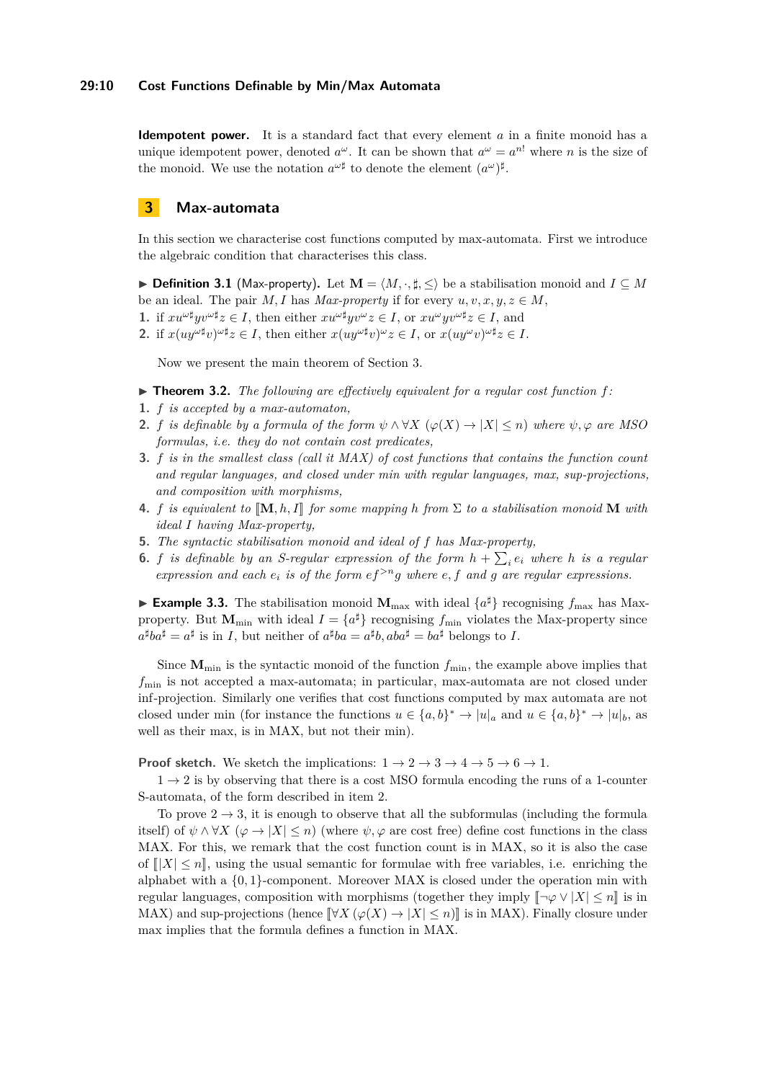#### **29:10 Cost Functions Definable by Min/Max Automata**

**Idempotent power.** It is a standard fact that every element *a* in a finite monoid has a unique idempotent power, denoted  $a^{\omega}$ . It can be shown that  $a^{\omega} = a^{n!}$  where *n* is the size of the monoid. We use the notation  $a^{\omega \sharp}$  to denote the element  $(a^{\omega})^{\sharp}$ .

### <span id="page-9-1"></span>**3 Max-automata**

In this section we characterise cost functions computed by max-automata. First we introduce the algebraic condition that characterises this class.

**► Definition 3.1** (Max-property). Let  $\mathbf{M} = \langle M, \cdot, \sharp, \leq \rangle$  be a stabilisation monoid and  $I \subseteq M$ be an ideal. The pair *M*, *I* has *Max-property* if for every  $u, v, x, y, z \in M$ ,

- **1.** if  $xu^{\omega\sharp}yv^{\omega\sharp}z \in I$ , then either  $xu^{\omega\sharp}yv^{\omega}z \in I$ , or  $xu^{\omega}yv^{\omega\sharp}z \in I$ , and
- 2. if  $x(uy^{\omega\sharp}v)^{\omega\sharp}z \in I$ , then either  $x(uy^{\omega\sharp}v)^{\omega}z \in I$ , or  $x(uy^{\omega}v)^{\omega\sharp}z \in I$ .

Now we present the main theorem of Section [3.](#page-9-1)

- <span id="page-9-0"></span> $\triangleright$  **Theorem 3.2.** The following are effectively equivalent for a regular cost function f:
- <span id="page-9-2"></span>**1.** *f is accepted by a max-automaton,*
- <span id="page-9-3"></span>**2.** *f is definable by a formula of the form*  $\psi \wedge \forall X \ (\varphi(X) \rightarrow |X| \leq n)$  *where*  $\psi, \varphi$  *are MSO formulas, i.e. they do not contain cost predicates,*
- <span id="page-9-4"></span>**3.** *f is in the smallest class (call it MAX) of cost functions that contains the function count and regular languages, and closed under min with regular languages, max, sup-projections, and composition with morphisms,*
- <span id="page-9-5"></span>**4.** *f is equivalent to*  $[M, h, I]$  *for some mapping h from*  $\Sigma$  *to a stabilisation monoid* **M** *with ideal I having Max-property,*
- <span id="page-9-6"></span>**5.** *The syntactic stabilisation monoid and ideal of f has Max-property,*
- <span id="page-9-7"></span>**6.** *f is definable by an S-regular expression of the form*  $h + \sum_i e_i$  where *h is a regular expression and each*  $e_i$  *is of the form*  $ef^{>n}g$  *where*  $e, f$  *and*  $g$  *are regular expressions.*

**Example 3.3.** The stabilisation monoid  $M_{\text{max}}$  with ideal  $\{a^{\sharp}\}\$  recognising  $f_{\text{max}}$  has Maxproperty. But  $M_{\text{min}}$  with ideal  $I = \{a^{\sharp}\}\$ recognising  $f_{\text{min}}$  violates the Max-property since  $a^{\sharp}ba^{\sharp} = a^{\sharp}$  is in *I*, but neither of  $a^{\sharp}ba = a^{\sharp}b$ ,  $aba^{\sharp} = ba^{\sharp}$  belongs to *I*.

Since  $M_{\text{min}}$  is the syntactic monoid of the function  $f_{\text{min}}$ , the example above implies that *f*<sub>min</sub> is not accepted a max-automata; in particular, max-automata are not closed under inf-projection. Similarly one verifies that cost functions computed by max automata are not closed under min (for instance the functions  $u \in \{a, b\}^* \to |u|_a$  and  $u \in \{a, b\}^* \to |u|_b$ , as well as their max, is in MAX, but not their min).

**Proof sketch.** We sketch the implications:  $1 \rightarrow 2 \rightarrow 3 \rightarrow 4 \rightarrow 5 \rightarrow 6 \rightarrow 1$  $1 \rightarrow 2 \rightarrow 3 \rightarrow 4 \rightarrow 5 \rightarrow 6 \rightarrow 1$  $1 \rightarrow 2 \rightarrow 3 \rightarrow 4 \rightarrow 5 \rightarrow 6 \rightarrow 1$  $1 \rightarrow 2 \rightarrow 3 \rightarrow 4 \rightarrow 5 \rightarrow 6 \rightarrow 1$  $1 \rightarrow 2 \rightarrow 3 \rightarrow 4 \rightarrow 5 \rightarrow 6 \rightarrow 1$  $1 \rightarrow 2 \rightarrow 3 \rightarrow 4 \rightarrow 5 \rightarrow 6 \rightarrow 1$  $1 \rightarrow 2 \rightarrow 3 \rightarrow 4 \rightarrow 5 \rightarrow 6 \rightarrow 1$  $1 \rightarrow 2 \rightarrow 3 \rightarrow 4 \rightarrow 5 \rightarrow 6 \rightarrow 1$  $1 \rightarrow 2 \rightarrow 3 \rightarrow 4 \rightarrow 5 \rightarrow 6 \rightarrow 1$  $1 \rightarrow 2 \rightarrow 3 \rightarrow 4 \rightarrow 5 \rightarrow 6 \rightarrow 1$  $1 \rightarrow 2 \rightarrow 3 \rightarrow 4 \rightarrow 5 \rightarrow 6 \rightarrow 1$  $1 \rightarrow 2 \rightarrow 3 \rightarrow 4 \rightarrow 5 \rightarrow 6 \rightarrow 1$ .

 $1 \rightarrow 2$  $1 \rightarrow 2$  $1 \rightarrow 2$  is by observing that there is a cost MSO formula encoding the runs of a 1-counter S-automata, of the form described in item [2.](#page-9-3)

To prove  $2 \rightarrow 3$  $2 \rightarrow 3$ , it is enough to observe that all the subformulas (including the formula itself) of  $\psi \wedge \forall X \ (\varphi \to |X| \leq n)$  (where  $\psi, \varphi$  are cost free) define cost functions in the class MAX. For this, we remark that the cost function count is in MAX, so it is also the case of  $||X| \leq n$ , using the usual semantic for formulae with free variables, i.e. enriching the alphabet with a {0*,* 1}-component. Moreover MAX is closed under the operation min with regular languages, composition with morphisms (together they imply  $\llbracket \neg \varphi \lor \vert X \vert \leq n \llbracket$  is in MAX) and sup-projections (hence  $\[\forall X (\varphi(X) \to |X| \leq n)\]$  is in MAX). Finally closure under max implies that the formula defines a function in MAX.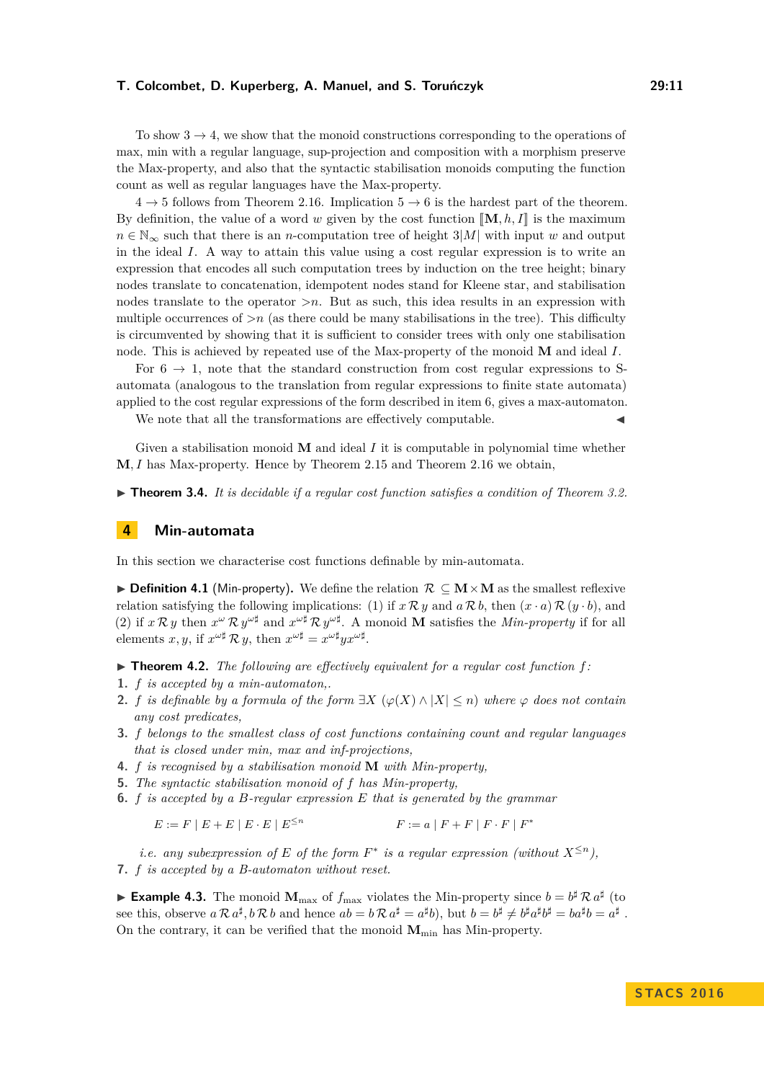To show  $3 \rightarrow 4$  $3 \rightarrow 4$ , we show that the monoid constructions corresponding to the operations of max, min with a regular language, sup-projection and composition with a morphism preserve the Max-property, and also that the syntactic stabilisation monoids computing the function count as well as regular languages have the Max-property.

 $4 \rightarrow 5$  $4 \rightarrow 5$  $4 \rightarrow 5$  follows from Theorem [2.16.](#page-8-1) Implication  $5 \rightarrow 6$  $5 \rightarrow 6$  is the hardest part of the theorem. By definition, the value of a word w given by the cost function  $[\mathbf{M}, h, I]$  is the maximum  $n \in \mathbb{N}_{\infty}$  such that there is an *n*-computation tree of height 3|*M*| with input *w* and output in the ideal *I*. A way to attain this value using a cost regular expression is to write an expression that encodes all such computation trees by induction on the tree height; binary nodes translate to concatenation, idempotent nodes stand for Kleene star, and stabilisation nodes translate to the operator *>n*. But as such, this idea results in an expression with multiple occurrences of  $>n$  (as there could be many stabilisations in the tree). This difficulty is circumvented by showing that it is sufficient to consider trees with only one stabilisation node. This is achieved by repeated use of the Max-property of the monoid **M** and ideal *I*.

For  $6 \rightarrow 1$  $6 \rightarrow 1$ , note that the standard construction from cost regular expressions to Sautomata (analogous to the translation from regular expressions to finite state automata) applied to the cost regular expressions of the form described in item [6,](#page-9-7) gives a max-automaton.

We note that all the transformations are effectively computable.

Given a stabilisation monoid **M** and ideal *I* it is computable in polynomial time whether **M***, I* has Max-property. Hence by Theorem [2.15](#page-8-0) and Theorem [2.16](#page-8-1) we obtain,

▶ **Theorem 3.4.** *It is decidable if a regular cost function satisfies a condition of Theorem [3.2.](#page-9-0)* 

#### **4 Min-automata**

In this section we characterise cost functions definable by min-automata.

<span id="page-10-1"></span>I **Definition 4.1** (Min-property)**.** We define the relation R ⊆ **M**×**M** as the smallest reflexive relation satisfying the following implications: (1) if  $x \mathcal{R} y$  and  $a \mathcal{R} b$ , then  $(x \cdot a) \mathcal{R} (y \cdot b)$ , and (2) if  $x \mathcal{R} y$  then  $x^{\omega} \mathcal{R} y^{\omega \sharp}$  and  $x^{\omega \sharp} \mathcal{R} y^{\omega \sharp}$ . A monoid **M** satisfies the *Min-property* if for all elements  $x, y$ , if  $x^{\omega \sharp} \mathcal{R} y$ , then  $x^{\omega \sharp} = x^{\omega \sharp} y x^{\omega \sharp}$ .

- <span id="page-10-0"></span> $\triangleright$  **Theorem 4.2.** *The following are effectively equivalent for a regular cost function f:*
- <span id="page-10-2"></span>**1.** *f is accepted by a min-automaton,.*
- <span id="page-10-3"></span>**2.** *f is definable by a formula of the form*  $\exists X \ (\varphi(X) \land |X| \leq n)$  *where*  $\varphi$  *does not contain any cost predicates,*
- <span id="page-10-4"></span>**3.** *f belongs to the smallest class of cost functions containing count and regular languages that is closed under min, max and inf-projections,*
- <span id="page-10-5"></span>**4.** *f is recognised by a stabilisation monoid* **M** *with Min-property,*
- <span id="page-10-6"></span>**5.** *The syntactic stabilisation monoid of f has Min-property,*
- <span id="page-10-7"></span>**6.** *f is accepted by a B-regular expression E that is generated by the grammar*

$$
E := F | E + E | E \cdot E | E^{\leq n} \qquad F := a | F + F | F \cdot F | F^*
$$

<span id="page-10-8"></span>*i.e.* any subexpression of E of the form  $F^*$  is a regular expression (without  $X^{\leq n}$ ), **7.** *f is accepted by a B-automaton without reset.*

**Example 4.3.** The monoid  $M_{\text{max}}$  of  $f_{\text{max}}$  violates the Min-property since  $b = b^{\sharp} \mathcal{R} a^{\sharp}$  (to see this, observe  $a \mathcal{R} a^{\sharp}, b \mathcal{R} b$  and hence  $ab = b \mathcal{R} a^{\sharp} = a^{\sharp}b$ , but  $b = b^{\sharp} \neq b^{\sharp} a^{\sharp} b^{\sharp} = b a^{\sharp} b = a^{\sharp}$ . On the contrary, it can be verified that the monoid  $M_{\text{min}}$  has Min-property.

**STACS 2016**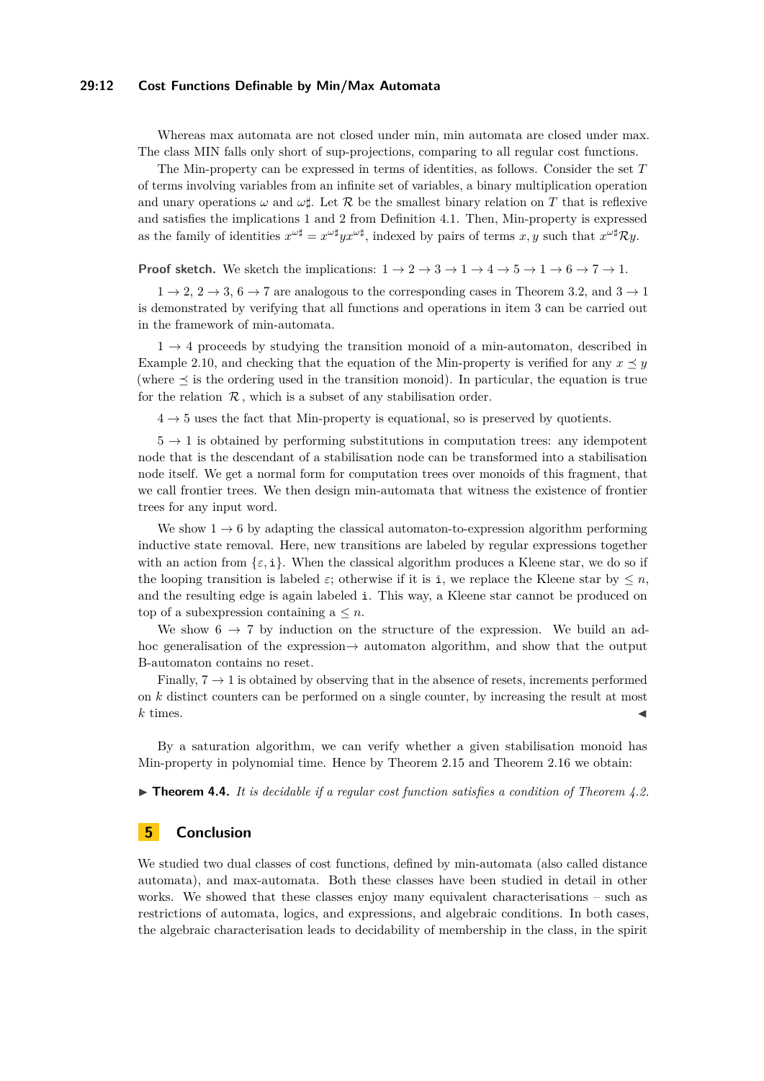#### **29:12 Cost Functions Definable by Min/Max Automata**

Whereas max automata are not closed under min, min automata are closed under max. The class MIN falls only short of sup-projections, comparing to all regular cost functions.

The Min-property can be expressed in terms of identities, as follows. Consider the set *T* of terms involving variables from an infinite set of variables, a binary multiplication operation and unary operations  $\omega$  and  $\omega\sharp$ . Let R be the smallest binary relation on T that is reflexive and satisfies the implications 1 and 2 from Definition [4.1.](#page-10-1) Then, Min-property is expressed as the family of identities  $x^{\omega\sharp} = x^{\omega\sharp}yx^{\omega\sharp}$ , indexed by pairs of terms  $x, y$  such that  $x^{\omega\sharp} \mathcal{R}y$ .

**Proof sketch.** We sketch the implications:  $1 \rightarrow 2 \rightarrow 3 \rightarrow 1 \rightarrow 4 \rightarrow 5 \rightarrow 1 \rightarrow 6 \rightarrow 7 \rightarrow 1$  $1 \rightarrow 2 \rightarrow 3 \rightarrow 1 \rightarrow 4 \rightarrow 5 \rightarrow 1 \rightarrow 6 \rightarrow 7 \rightarrow 1$  $1 \rightarrow 2 \rightarrow 3 \rightarrow 1 \rightarrow 4 \rightarrow 5 \rightarrow 1 \rightarrow 6 \rightarrow 7 \rightarrow 1$  $1 \rightarrow 2 \rightarrow 3 \rightarrow 1 \rightarrow 4 \rightarrow 5 \rightarrow 1 \rightarrow 6 \rightarrow 7 \rightarrow 1$  $1 \rightarrow 2 \rightarrow 3 \rightarrow 1 \rightarrow 4 \rightarrow 5 \rightarrow 1 \rightarrow 6 \rightarrow 7 \rightarrow 1$  $1 \rightarrow 2 \rightarrow 3 \rightarrow 1 \rightarrow 4 \rightarrow 5 \rightarrow 1 \rightarrow 6 \rightarrow 7 \rightarrow 1$  $1 \rightarrow 2 \rightarrow 3 \rightarrow 1 \rightarrow 4 \rightarrow 5 \rightarrow 1 \rightarrow 6 \rightarrow 7 \rightarrow 1$  $1 \rightarrow 2 \rightarrow 3 \rightarrow 1 \rightarrow 4 \rightarrow 5 \rightarrow 1 \rightarrow 6 \rightarrow 7 \rightarrow 1$  $1 \rightarrow 2 \rightarrow 3 \rightarrow 1 \rightarrow 4 \rightarrow 5 \rightarrow 1 \rightarrow 6 \rightarrow 7 \rightarrow 1$  $1 \rightarrow 2 \rightarrow 3 \rightarrow 1 \rightarrow 4 \rightarrow 5 \rightarrow 1 \rightarrow 6 \rightarrow 7 \rightarrow 1$  $1 \rightarrow 2 \rightarrow 3 \rightarrow 1 \rightarrow 4 \rightarrow 5 \rightarrow 1 \rightarrow 6 \rightarrow 7 \rightarrow 1$  $1 \rightarrow 2 \rightarrow 3 \rightarrow 1 \rightarrow 4 \rightarrow 5 \rightarrow 1 \rightarrow 6 \rightarrow 7 \rightarrow 1$  $1 \rightarrow 2 \rightarrow 3 \rightarrow 1 \rightarrow 4 \rightarrow 5 \rightarrow 1 \rightarrow 6 \rightarrow 7 \rightarrow 1$  $1 \rightarrow 2 \rightarrow 3 \rightarrow 1 \rightarrow 4 \rightarrow 5 \rightarrow 1 \rightarrow 6 \rightarrow 7 \rightarrow 1$ .

 $1 \rightarrow 2$  $1 \rightarrow 2$  $1 \rightarrow 2$ ,  $2 \rightarrow 3$  $2 \rightarrow 3$ ,  $6 \rightarrow 7$  $6 \rightarrow 7$  $6 \rightarrow 7$  are analogous to the corresponding cases in Theorem 3.[2,](#page-10-3) and  $3 \rightarrow 1$ is demonstrated by verifying that all functions and operations in item [3](#page-10-4) can be carried out in the framework of min-automata.

 $1 \rightarrow 4$  $1 \rightarrow 4$  $1 \rightarrow 4$  proceeds by studying the transition monoid of a min-automaton, described in Example [2.10,](#page-6-5) and checking that the equation of the Min-property is verified for any  $x \prec y$ (where  $\preceq$  is the ordering used in the transition monoid). In particular, the equation is true for the relation  $\mathcal R$ , which is a subset of any stabilisation order.

 $4 \rightarrow 5$  $4 \rightarrow 5$  $4 \rightarrow 5$  uses the fact that Min-property is equational, so is preserved by quotients.

 $5 \rightarrow 1$  $5 \rightarrow 1$  $5 \rightarrow 1$  is obtained by performing substitutions in computation trees: any idempotent node that is the descendant of a stabilisation node can be transformed into a stabilisation node itself. We get a normal form for computation trees over monoids of this fragment, that we call frontier trees. We then design min-automata that witness the existence of frontier trees for any input word.

We show  $1 \rightarrow 6$  $1 \rightarrow 6$  $1 \rightarrow 6$  by adapting the classical automaton-to-expression algorithm performing inductive state removal. Here, new transitions are labeled by regular expressions together with an action from  $\{\varepsilon, i\}$ . When the classical algorithm produces a Kleene star, we do so if the looping transition is labeled  $\varepsilon$ ; otherwise if it is i, we replace the Kleene star by  $\leq n$ , and the resulting edge is again labeled i. This way, a Kleene star cannot be produced on top of a subexpression containing  $a \leq n$ .

We show  $6 \rightarrow 7$  $6 \rightarrow 7$  $6 \rightarrow 7$  by induction on the structure of the expression. We build an adhoc generalisation of the expression→ automaton algorithm, and show that the output B-automaton contains no reset.

Finally,  $7 \rightarrow 1$  $7 \rightarrow 1$  $7 \rightarrow 1$  is obtained by observing that in the absence of resets, increments performed on *k* distinct counters can be performed on a single counter, by increasing the result at most  $k$  times.

By a saturation algorithm, we can verify whether a given stabilisation monoid has Min-property in polynomial time. Hence by Theorem [2.15](#page-8-0) and Theorem [2.16](#page-8-1) we obtain:

▶ **Theorem 4.4.** *It is decidable if a regular cost function satisfies a condition of Theorem [4.2.](#page-10-0)* 

# **5 Conclusion**

We studied two dual classes of cost functions, defined by min-automata (also called distance automata), and max-automata. Both these classes have been studied in detail in other works. We showed that these classes enjoy many equivalent characterisations – such as restrictions of automata, logics, and expressions, and algebraic conditions. In both cases, the algebraic characterisation leads to decidability of membership in the class, in the spirit